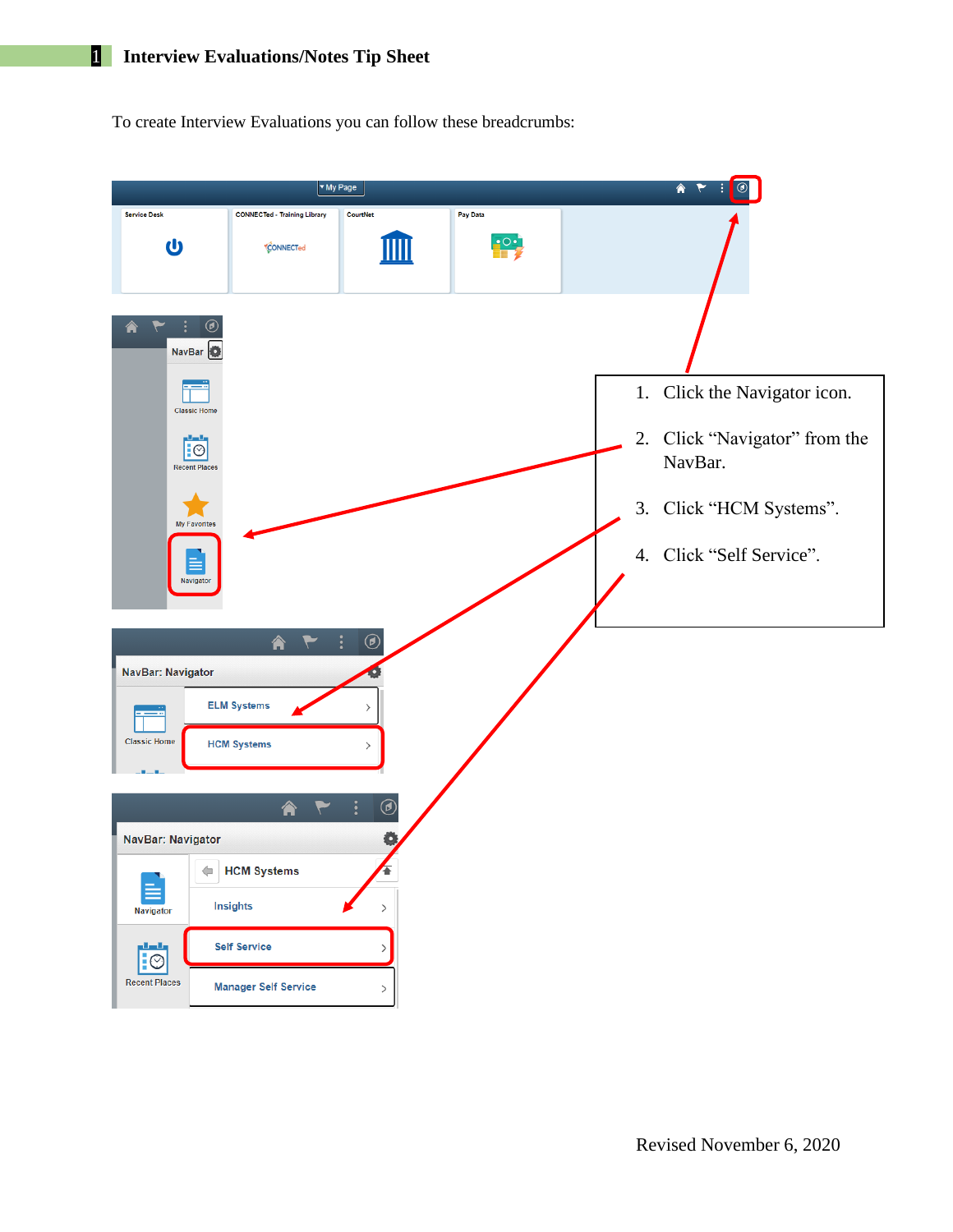To create Interview Evaluations you can follow these breadcrumbs:

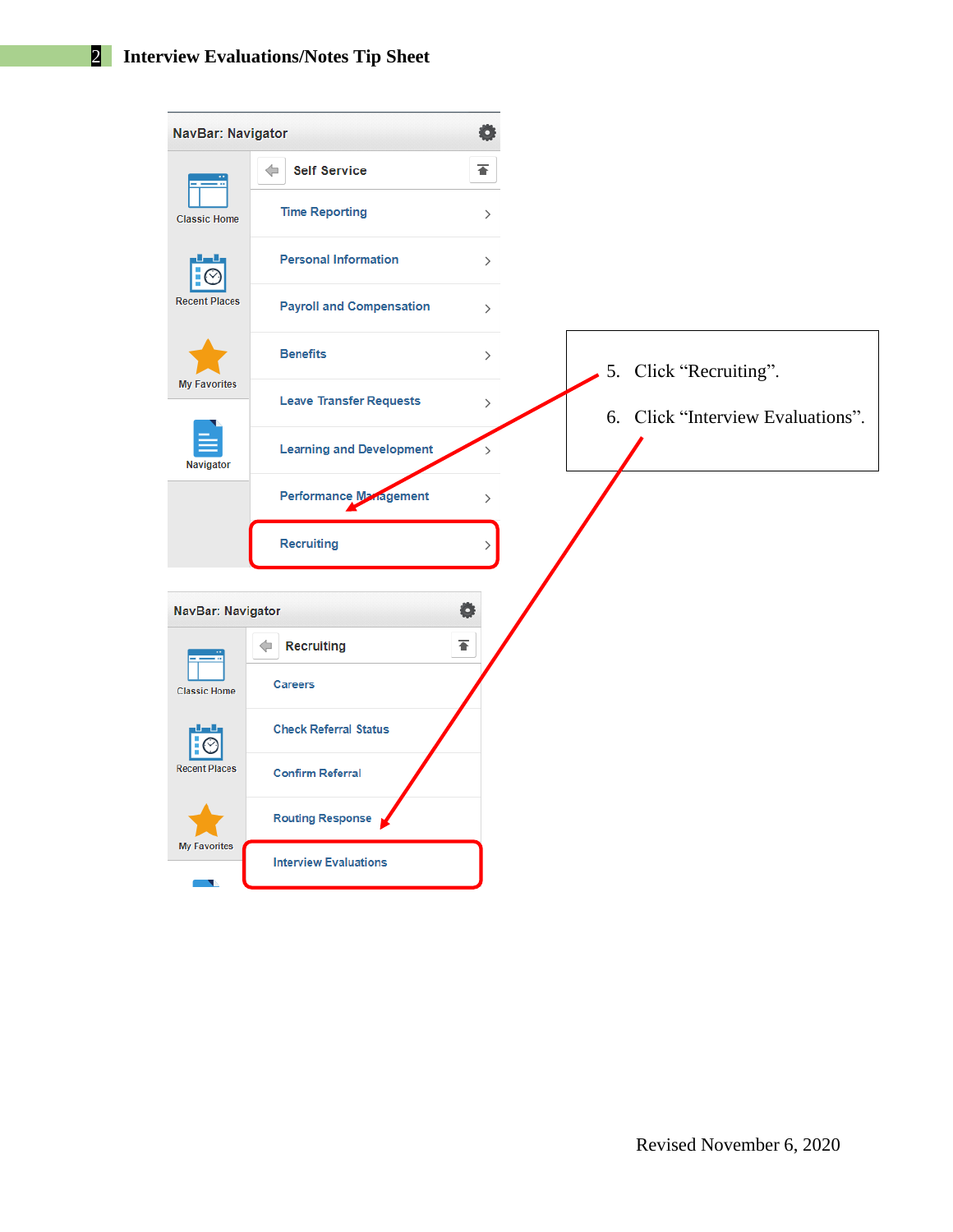| NavBar: Navigator    |                                 | Ö                            |
|----------------------|---------------------------------|------------------------------|
|                      | <b>Self Service</b><br>Œ        | ∓                            |
| <b>Classic Home</b>  | <b>Time Reporting</b>           | $\mathcal{P}$                |
|                      | <b>Personal Information</b>     | $\left\langle \right\rangle$ |
| <b>Recent Places</b> | <b>Payroll and Compensation</b> | $\left\langle \right\rangle$ |
|                      | <b>Benefits</b>                 | $\mathcal{P}$                |
| <b>My Favorites</b>  | <b>Leave Transfer Requests</b>  | $\,>\,$                      |
| Navigator            | <b>Learning and Development</b> |                              |
|                      | <b>Performance Management</b>   | $\mathcal{P}$                |
|                      | Recruiting                      |                              |
|                      |                                 |                              |
| NavBar: Navigator    | <b>Recruiting</b><br>⇐          | ₹                            |
| <b>Classic Home</b>  | <b>Careers</b>                  |                              |
| $\mathbf{F} \odot$   | <b>Check Referral Status</b>    |                              |
| <b>Recent Places</b> | <b>Confirm Referral</b>         |                              |
|                      | <b>Routing Response</b>         |                              |
| <b>My Favorites</b>  | <b>Interview Evaluations</b>    |                              |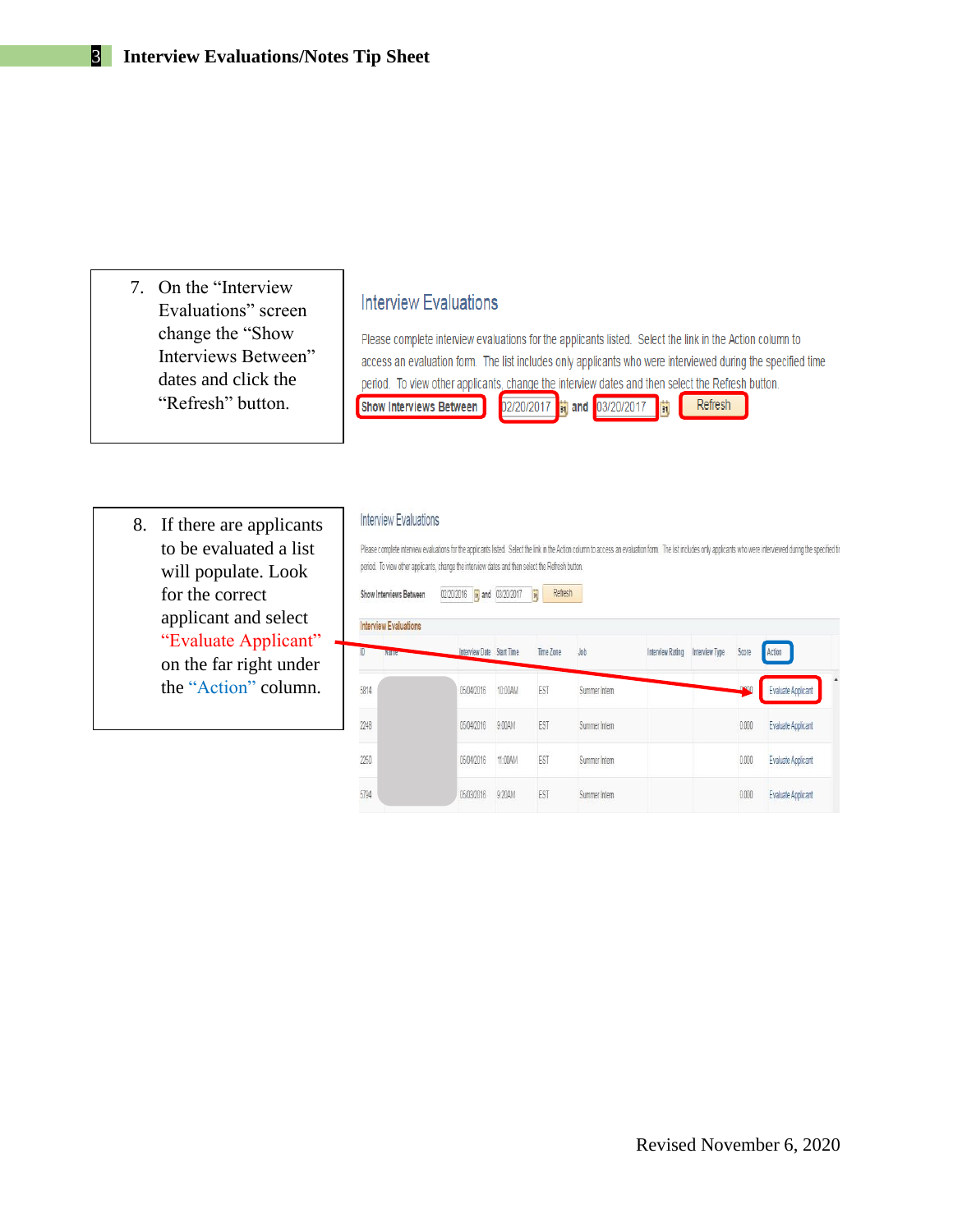7. On the "Interview Evaluations" screen change the "Show Interviews Between" dates and click the "Refresh" button.

## **Interview Evaluations**

Please complete interview evaluations for the applicants listed. Select the link in the Action column to access an evaluation form. The list includes only applicants who were interviewed during the specified time period. To view other applicants, change the interview dates and then select the Refresh button. Refresh Show Interviews Between 02/20/2017 31 and 03/20/2017 31

8. If there are applicants to be evaluated a list will populate. Look for the correct applicant and select "Evaluate Applicant" on the far right under the "Action" column.

## **Interview Evaluations**

Please complete interview evaluations for the applicants listed. Select the link in the Action column to access an evaluation form. The list includes only applicants who were interviewed during the specified tir period. To view other applicants, change the interview dates and then select the Refresh button.

|             | <b>Interview Evaluations</b> |                           |         |                  |               |                         |                |              |                           |
|-------------|------------------------------|---------------------------|---------|------------------|---------------|-------------------------|----------------|--------------|---------------------------|
| ID          | <b>Name</b>                  | Interview Date Start Time |         | <b>Time Zone</b> | Job           | <b>Interview Rating</b> | Interview Type | Score        | Action                    |
| 5814        |                              | 05/04/2016                | 10:00AM | EST              | Summer Intern |                         |                | <b>DOM</b>   | <b>Evaluate Applicant</b> |
| Ξ<br>2248   |                              | 05/04/2016                | 9:00AM  | EST              | Summer Intern |                         |                | 0.000        | Evaluate Applicant        |
| ees<br>2250 |                              | 05/04/2016                | 11:00AM | cool<br>EST      | Summer Intern |                         |                | -37<br>0.000 | <b>Evaluate Applicant</b> |
| 5794        |                              | 05/03/2016                | 9:20AM  | EST              | Summer Intern |                         |                | 0.000        | Evaluate Applicant        |